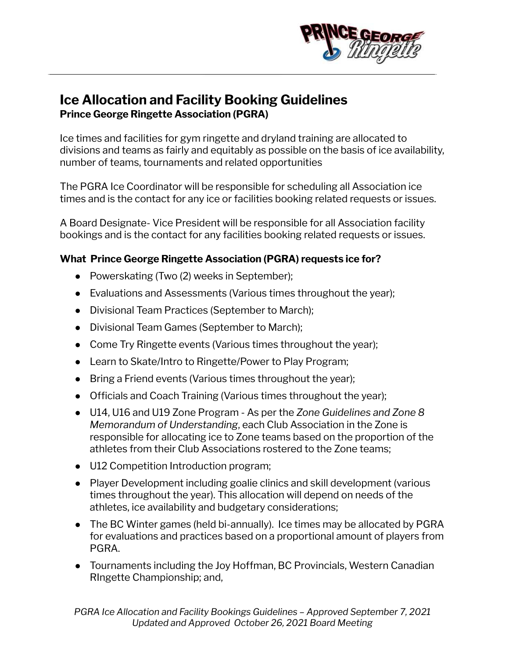

# **Ice Allocation and Facility Booking Guidelines Prince George Ringette Association (PGRA)**

Ice times and facilities for gym ringette and dryland training are allocated to divisions and teams as fairly and equitably as possible on the basis of ice availability, number of teams, tournaments and related opportunities

The PGRA Ice Coordinator will be responsible for scheduling all Association ice times and is the contact for any ice or facilities booking related requests or issues.

A Board Designate- Vice President will be responsible for all Association facility bookings and is the contact for any facilities booking related requests or issues.

#### **What Prince George Ringette Association (PGRA) requests ice for?**

- Powerskating (Two (2) weeks in September);
- Evaluations and Assessments (Various times throughout the year);
- Divisional Team Practices (September to March);
- Divisional Team Games (September to March);
- Come Try Ringette events (Various times throughout the year);
- Learn to Skate/Intro to Ringette/Power to Play Program;
- Bring a Friend events (Various times throughout the year);
- Officials and Coach Training (Various times throughout the year);
- U14, U16 and U19 Zone Program As per the *Zone Guidelines and Zone 8 Memorandum of Understanding*, each Club Association in the Zone is responsible for allocating ice to Zone teams based on the proportion of the athletes from their Club Associations rostered to the Zone teams;
- U12 Competition Introduction program;
- Player Development including goalie clinics and skill development (various times throughout the year). This allocation will depend on needs of the athletes, ice availability and budgetary considerations;
- The BC Winter games (held bi-annually). Ice times may be allocated by PGRA for evaluations and practices based on a proportional amount of players from PGRA.
- Tournaments including the Joy Hoffman, BC Provincials, Western Canadian RIngette Championship; and,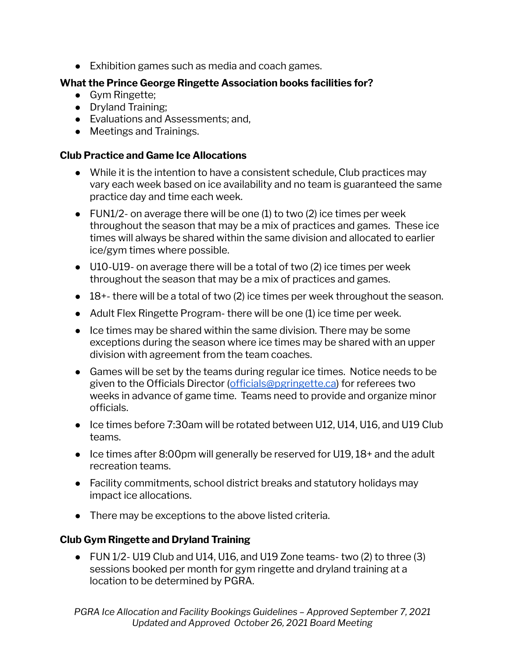● Exhibition games such as media and coach games.

#### **What the Prince George Ringette Association books facilities for?**

- **●** Gym Ringette;
- **●** Dryland Training;
- **●** Evaluations and Assessments; and,
- Meetings and Trainings.

### **Club Practice and Game Ice Allocations**

- While it is the intention to have a consistent schedule, Club practices may vary each week based on ice availability and no team is guaranteed the same practice day and time each week.
- $\bullet$  FUN1/2- on average there will be one (1) to two (2) ice times per week throughout the season that may be a mix of practices and games. These ice times will always be shared within the same division and allocated to earlier ice/gym times where possible.
- U10-U19- on average there will be a total of two (2) ice times per week throughout the season that may be a mix of practices and games.
- $\bullet$  18+- there will be a total of two (2) ice times per week throughout the season.
- $\bullet$  Adult Flex Ringette Program- there will be one (1) ice time per week.
- Ice times may be shared within the same division. There may be some exceptions during the season where ice times may be shared with an upper division with agreement from the team coaches.
- Games will be set by the teams during regular ice times. Notice needs to be given to the Officials Director ([officials@pgringette.ca\)](mailto:officials@pgringette.ca) for referees two weeks in advance of game time. Teams need to provide and organize minor officials.
- Ice times before 7:30am will be rotated between U12, U14, U16, and U19 Club teams.
- Ice times after 8:00pm will generally be reserved for U19, 18+ and the adult recreation teams.
- Facility commitments, school district breaks and statutory holidays may impact ice allocations.
- There may be exceptions to the above listed criteria.

## **Club Gym Ringette and Dryland Training**

● FUN 1/2- U19 Club and U14, U16, and U19 Zone teams- two (2) to three (3) sessions booked per month for gym ringette and dryland training at a location to be determined by PGRA.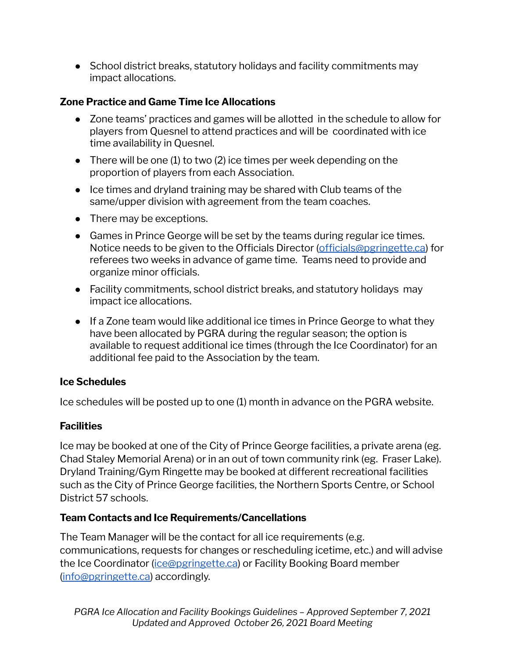• School district breaks, statutory holidays and facility commitments may impact allocations.

### **Zone Practice and Game Time Ice Allocations**

- Zone teams' practices and games will be allotted in the schedule to allow for players from Quesnel to attend practices and will be coordinated with ice time availability in Quesnel.
- $\bullet$  There will be one (1) to two (2) ice times per week depending on the proportion of players from each Association.
- $\bullet$  Ice times and dryland training may be shared with Club teams of the same/upper division with agreement from the team coaches.
- There may be exceptions.
- Games in Prince George will be set by the teams during regular ice times. Notice needs to be given to the Officials Director ([officials@pgringette.ca\)](mailto:officials@pgringette.ca) for referees two weeks in advance of game time. Teams need to provide and organize minor officials.
- Facility commitments, school district breaks, and statutory holidays may impact ice allocations.
- If a Zone team would like additional ice times in Prince George to what they have been allocated by PGRA during the regular season; the option is available to request additional ice times (through the Ice Coordinator) for an additional fee paid to the Association by the team.

#### **Ice Schedules**

Ice schedules will be posted up to one (1) month in advance on the PGRA website.

## **Facilities**

Ice may be booked at one of the City of Prince George facilities, a private arena (eg. Chad Staley Memorial Arena) or in an out of town community rink (eg. Fraser Lake). Dryland Training/Gym Ringette may be booked at different recreational facilities such as the City of Prince George facilities, the Northern Sports Centre, or School District 57 schools.

## **Team Contacts and Ice Requirements/Cancellations**

The Team Manager will be the contact for all ice requirements (e.g. communications, requests for changes or rescheduling icetime, etc.) and will advise the Ice Coordinator (*[ice@pgringette.ca](mailto:ice@pgringette.ca)*) or Facility Booking Board member [\(info@pgringette.ca\)](mailto:info@pgringette.ca) accordingly.